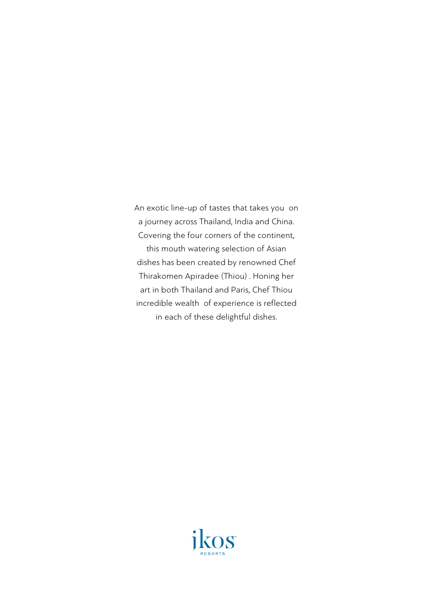An exotic line-up of tastes that takes you on a journey across Thailand, India and China. Covering the four corners of the continent, this mouth watering selection of Asian dishes has been created by renowned Chef Thirakomen Apiradee (Thiou) . Honing her art in both Thailand and Paris, Chef Thiou incredible wealth of experience is reflected in each of these delightful dishes.

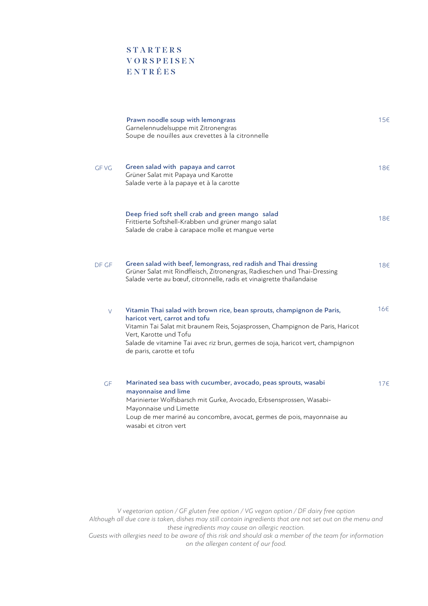**STARTERS VORSPEISEN** E N TRÉES

|              | Prawn noodle soup with lemongrass<br>Garnelennudelsuppe mit Zitronengras<br>Soupe de nouilles aux crevettes à la citronnelle                                                                                                                                                                                                       | 15€             |
|--------------|------------------------------------------------------------------------------------------------------------------------------------------------------------------------------------------------------------------------------------------------------------------------------------------------------------------------------------|-----------------|
| <b>GF VG</b> | Green salad with papaya and carrot<br>Grüner Salat mit Papaya und Karotte<br>Salade verte à la papaye et à la carotte                                                                                                                                                                                                              | 18€             |
|              | Deep fried soft shell crab and green mango salad<br>Frittierte Softshell-Krabben und grüner mango salat<br>Salade de crabe à carapace molle et mangue verte                                                                                                                                                                        | 18€             |
| DF GF        | Green salad with beef, lemongrass, red radish and Thai dressing<br>Grüner Salat mit Rindfleisch, Zitronengras, Radieschen und Thai-Dressing<br>Salade verte au bœuf, citronnelle, radis et vinaigrette thaïlandaise                                                                                                                | 18€             |
| $\vee$       | Vitamin Thai salad with brown rice, bean sprouts, champignon de Paris,<br>haricot vert, carrot and tofu<br>Vitamin Tai Salat mit braunem Reis, Sojasprossen, Champignon de Paris, Haricot<br>Vert, Karotte und Tofu<br>Salade de vitamine Tai avec riz brun, germes de soja, haricot vert, champignon<br>de paris, carotte et tofu | 16€             |
| GF           | Marinated sea bass with cucumber, avocado, peas sprouts, wasabi<br>mayonnaise and lime<br>Marinierter Wolfsbarsch mit Gurke, Avocado, Erbsensprossen, Wasabi-<br>Mayonnaise und Limette<br>Loup de mer mariné au concombre, avocat, germes de pois, mayonnaise au<br>wasabi et citron vert                                         | 17 <sup>2</sup> |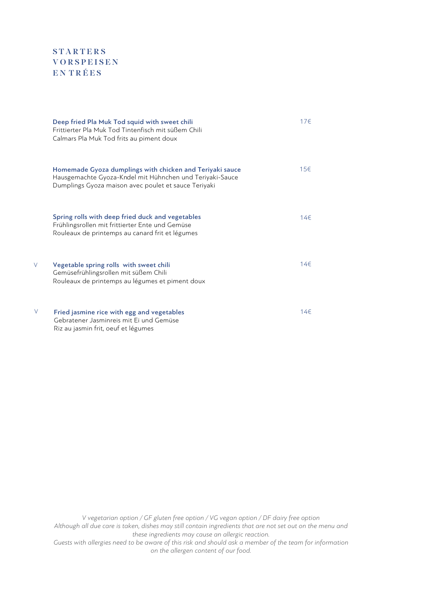## **STARTERS VORSPEISEN** EN TRÉES

V

V

| Deep fried Pla Muk Tod squid with sweet chili<br>Frittierter Pla Muk Tod Tintenfisch mit süßem Chili<br>Calmars Pla Muk Tod frits au piment doux                             | 17€ |
|------------------------------------------------------------------------------------------------------------------------------------------------------------------------------|-----|
| Homemade Gyoza dumplings with chicken and Teriyaki sauce<br>Hausgemachte Gyoza-Kndel mit Hühnchen und Teriyaki-Sauce<br>Dumplings Gyoza maison avec poulet et sauce Teriyaki | 156 |
| Spring rolls with deep fried duck and vegetables<br>Frühlingsrollen mit frittierter Ente und Gemüse<br>Rouleaux de printemps au canard frit et légumes                       | 146 |
| Vegetable spring rolls with sweet chili<br>Gemüsefrühlingsrollen mit süßem Chili<br>Rouleaux de printemps au légumes et piment doux                                          | 146 |
| Fried jasmine rice with egg and vegetables<br>Gebratener Jasminreis mit Ei und Gemüse<br>Riz au jasmin frit, oeuf et légumes                                                 | 14€ |

*V vegetarian option / GF gluten free option / VG vegan option / DF dairy free option Although all due care is taken, dishes may still contain ingredients that are not set out on the menu and these ingredients may cause an allergic reaction.*

*Guests with allergies need to be aware of this risk and should ask a member of the team for information on the allergen content of our food.*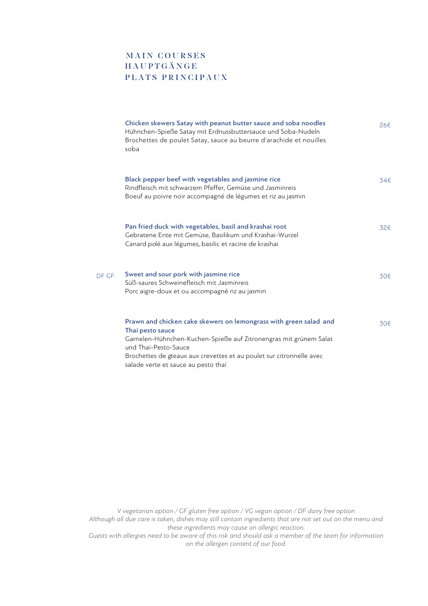## MAIN COURSES **HAUPTGÄNGE** PLATS PRINCIPAUX

|       | Chicken skewers Satay with peanut butter sauce and soba noodles<br>Hühnchen-Spieße Satay mit Erdnussbuttersauce und Soba-Nudeln<br>Brochettes de poulet Satay, sauce au beurre d'arachide et nouilles<br>soba                                                                                     | 26€ |
|-------|---------------------------------------------------------------------------------------------------------------------------------------------------------------------------------------------------------------------------------------------------------------------------------------------------|-----|
|       | Black pepper beef with vegetables and jasmine rice<br>Rindfleisch mit schwarzem Pfeffer, Gemüse und Jasminreis<br>Boeuf au poivre noir accompagné de légumes et riz au jasmin                                                                                                                     | 346 |
|       | Pan fried duck with vegetables, basil and krashai root<br>Gebratene Ente mit Gemüse, Basilikum und Krashai-Wurzel<br>Canard polé aux légumes, basilic et racine de krashai                                                                                                                        | 32€ |
| DF GF | Sweet and sour pork with jasmine rice<br>Süß-saures Schweinefleisch mit Jasminreis<br>Porc aigre-doux et ou accompagné riz au jasmin                                                                                                                                                              | 30€ |
|       | Prawn and chicken cake skewers on lemongrass with green salad and<br>Thai pesto sauce<br>Garnelen-Hühnchen-Kuchen-Spieße auf Zitronengras mit grünem Salat<br>und Thai-Pesto-Sauce<br>Brochettes de gteaux aux crevettes et au poulet sur citronnelle avec<br>salade verte et sauce au pesto thaï | 30€ |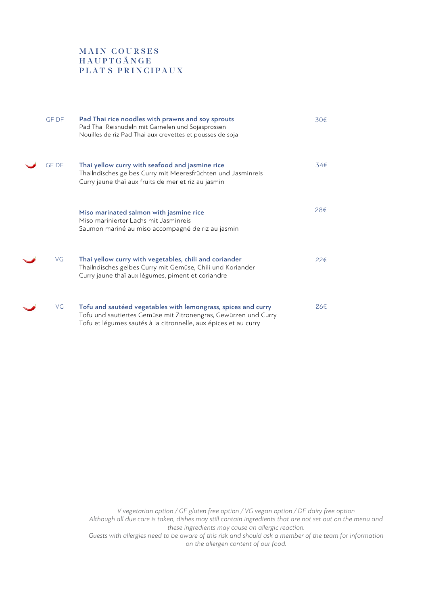## MAIN COURSES HAUPTGÄNGE PLATS PRINCIPAUX

| <b>GF DF</b> | Pad Thai rice noodles with prawns and soy sprouts<br>Pad Thai Reisnudeln mit Garnelen und Sojasprossen<br>Nouilles de riz Pad Thai aux crevettes et pousses de soja                                 | 30€ |
|--------------|-----------------------------------------------------------------------------------------------------------------------------------------------------------------------------------------------------|-----|
| <b>GF DF</b> | Thai yellow curry with seafood and jasmine rice<br>Thailndisches gelbes Curry mit Meeresfrüchten und Jasminreis<br>Curry jaune thaï aux fruits de mer et riz au jasmin                              | 34€ |
|              | Miso marinated salmon with jasmine rice<br>Miso marinierter Lachs mit Jasminreis<br>Saumon mariné au miso accompagné de riz au jasmin                                                               | 28€ |
| VG           | Thai yellow curry with vegetables, chili and coriander<br>Thailndisches gelbes Curry mit Gemüse, Chili und Koriander<br>Curry jaune thaï aux légumes, piment et coriandre                           | 22€ |
| VG           | Tofu and sautéed vegetables with lemongrass, spices and curry<br>Tofu und sautiertes Gemüse mit Zitronengras, Gewürzen und Curry<br>Tofu et légumes sautés à la citronnelle, aux épices et au curry | 26€ |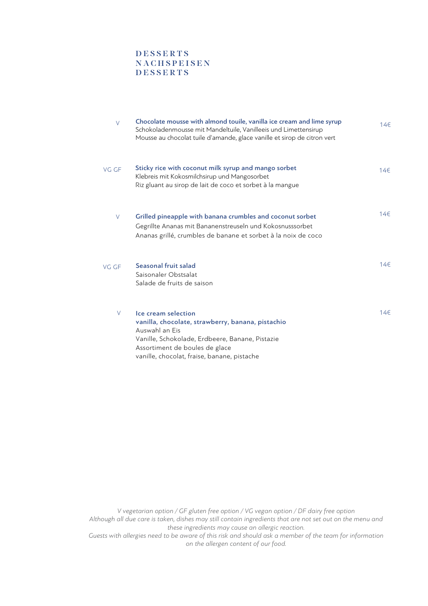## DESSERTS NACHSPEISEN DESSERTS

| $\vee$ | Chocolate mousse with almond touile, vanilla ice cream and lime syrup<br>Schokoladenmousse mit Mandeltuile, Vanilleeis und Limettensirup<br>Mousse au chocolat tuile d'amande, glace vanille et sirop de citron vert           | 14€             |
|--------|--------------------------------------------------------------------------------------------------------------------------------------------------------------------------------------------------------------------------------|-----------------|
| VG GF  | Sticky rice with coconut milk syrup and mango sorbet<br>Klebreis mit Kokosmilchsirup und Mangosorbet<br>Riz gluant au sirop de lait de coco et sorbet à la mangue                                                              | 14€             |
| V      | Grilled pineapple with banana crumbles and coconut sorbet<br>Gegrillte Ananas mit Bananenstreuseln und Kokosnusssorbet<br>Ananas grillé, crumbles de banane et sorbet à la noix de coco                                        | 14 <sup>5</sup> |
| VG GF  | Seasonal fruit salad<br>Saisonaler Obstsalat<br>Salade de fruits de saison                                                                                                                                                     | 14€             |
| V      | Ice cream selection<br>vanilla, chocolate, strawberry, banana, pistachio<br>Auswahl an Eis<br>Vanille, Schokolade, Erdbeere, Banane, Pistazie<br>Assortiment de boules de glace<br>vanille, chocolat, fraise, banane, pistache | 14 <sup>5</sup> |